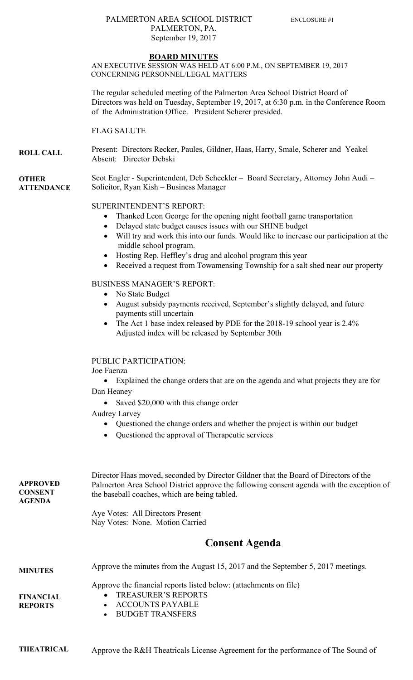## PALMERTON AREA SCHOOL DISTRICT ENCLOSURE #1 PALMERTON, PA. September 19, 2017

### **BOARD MINUTES**

AN EXECUTIVE SESSION WAS HELD AT 6:00 P.M., ON SEPTEMBER 19, 2017 CONCERNING PERSONNEL/LEGAL MATTERS

The regular scheduled meeting of the Palmerton Area School District Board of Directors was held on Tuesday, September 19, 2017, at 6:30 p.m. in the Conference Room of the Administration Office. President Scherer presided.

FLAG SALUTE

**ROLL CALL**  Present: Directors Recker, Paules, Gildner, Haas, Harry, Smale, Scherer and Yeakel Absent: Director Debski

**OTHER ATTENDANCE**  Scot Engler - Superintendent, Deb Scheckler – Board Secretary, Attorney John Audi – Solicitor, Ryan Kish – Business Manager

# SUPERINTENDENT'S REPORT:

- Thanked Leon George for the opening night football game transportation
- Delayed state budget causes issues with our SHINE budget
- Will try and work this into our funds. Would like to increase our participation at the middle school program.
- Hosting Rep. Heffley's drug and alcohol program this year
- Received a request from Towamensing Township for a salt shed near our property

## BUSINESS MANAGER'S REPORT:

- No State Budget
- August subsidy payments received, September's slightly delayed, and future payments still uncertain
- The Act 1 base index released by PDE for the 2018-19 school year is 2.4% Adjusted index will be released by September 30th

# PUBLIC PARTICIPATION:

Joe Faenza

 Explained the change orders that are on the agenda and what projects they are for Dan Heaney

• Saved \$20,000 with this change order

Audrey Larvey

- Questioned the change orders and whether the project is within our budget
- Questioned the approval of Therapeutic services

| <b>APPROVED</b><br><b>CONSENT</b><br><b>AGENDA</b> | Director Haas moved, seconded by Director Gildner that the Board of Directors of the<br>Palmerton Area School District approve the following consent agenda with the exception of<br>the baseball coaches, which are being tabled.<br>Aye Votes: All Directors Present<br>Nay Votes: None. Motion Carried |  |  |  |
|----------------------------------------------------|-----------------------------------------------------------------------------------------------------------------------------------------------------------------------------------------------------------------------------------------------------------------------------------------------------------|--|--|--|
|                                                    | <b>Consent Agenda</b>                                                                                                                                                                                                                                                                                     |  |  |  |
| <b>MINUTES</b>                                     | Approve the minutes from the August 15, 2017 and the September 5, 2017 meetings.                                                                                                                                                                                                                          |  |  |  |
| <b>FINANCIAL</b><br><b>REPORTS</b>                 | Approve the financial reports listed below: (attachments on file)<br><b>TREASURER'S REPORTS</b><br>$\bullet$<br><b>ACCOUNTS PAYABLE</b><br>$\bullet$<br><b>BUDGET TRANSFERS</b>                                                                                                                           |  |  |  |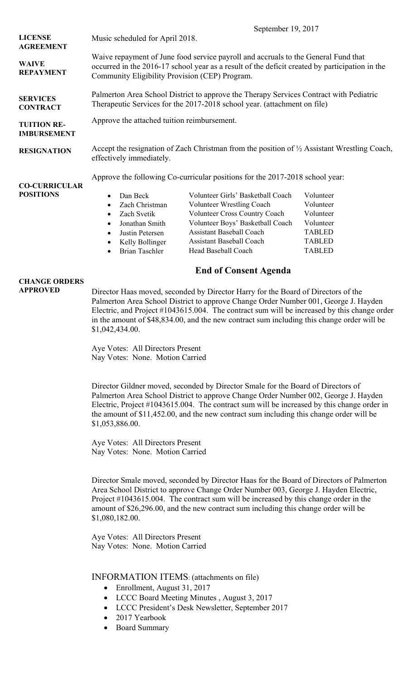|                                          | September 19, 2017                                                                                                                                                                                                                     |                                                                                                                                                                                                                                                                                                                  |                                                                                                     |  |
|------------------------------------------|----------------------------------------------------------------------------------------------------------------------------------------------------------------------------------------------------------------------------------------|------------------------------------------------------------------------------------------------------------------------------------------------------------------------------------------------------------------------------------------------------------------------------------------------------------------|-----------------------------------------------------------------------------------------------------|--|
| <b>LICENSE</b><br><b>AGREEMENT</b>       | Music scheduled for April 2018.                                                                                                                                                                                                        |                                                                                                                                                                                                                                                                                                                  |                                                                                                     |  |
| <b>WAIVE</b><br><b>REPAYMENT</b>         | Waive repayment of June food service payroll and accruals to the General Fund that<br>occurred in the 2016-17 school year as a result of the deficit created by participation in the<br>Community Eligibility Provision (CEP) Program. |                                                                                                                                                                                                                                                                                                                  |                                                                                                     |  |
| <b>SERVICES</b><br><b>CONTRACT</b>       | Palmerton Area School District to approve the Therapy Services Contract with Pediatric<br>Therapeutic Services for the 2017-2018 school year. (attachment on file)                                                                     |                                                                                                                                                                                                                                                                                                                  |                                                                                                     |  |
| <b>TUITION RE-</b><br><b>IMBURSEMENT</b> | Approve the attached tuition reimbursement.                                                                                                                                                                                            |                                                                                                                                                                                                                                                                                                                  |                                                                                                     |  |
| <b>RESIGNATION</b>                       | Accept the resignation of Zach Christman from the position of 1/2 Assistant Wrestling Coach,<br>effectively immediately.                                                                                                               |                                                                                                                                                                                                                                                                                                                  |                                                                                                     |  |
| <b>CO-CURRICULAR</b><br><b>POSITIONS</b> | Dan Beck<br>Zach Christman<br>$\bullet$<br>Zach Svetik<br>$\bullet$<br>Jonathan Smith<br>Justin Petersen<br>Kelly Bollinger<br><b>Brian Taschler</b>                                                                                   | Approve the following Co-curricular positions for the 2017-2018 school year:<br>Volunteer Girls' Basketball Coach<br>Volunteer Wrestling Coach<br>Volunteer Cross Country Coach<br>Volunteer Boys' Basketball Coach<br><b>Assistant Baseball Coach</b><br><b>Assistant Baseball Coach</b><br>Head Baseball Coach | Volunteer<br>Volunteer<br>Volunteer<br>Volunteer<br><b>TABLED</b><br><b>TABLED</b><br><b>TABLED</b> |  |
|                                          |                                                                                                                                                                                                                                        | <b>End of Consent Agenda</b>                                                                                                                                                                                                                                                                                     |                                                                                                     |  |

#### **CHANGE ORDERS APPROVED**

Director Haas moved, seconded by Director Harry for the Board of Directors of the Palmerton Area School District to approve Change Order Number 001, George J. Hayden Electric, and Project #1043615.004. The contract sum will be increased by this change order in the amount of \$48,834.00, and the new contract sum including this change order will be \$1,042,434.00.

Aye Votes: All Directors Present Nay Votes: None. Motion Carried

Director Gildner moved, seconded by Director Smale for the Board of Directors of Palmerton Area School District to approve Change Order Number 002, George J. Hayden Electric, Project #1043615.004. The contract sum will be increased by this change order in the amount of \$11,452.00, and the new contract sum including this change order will be \$1,053,886.00.

Aye Votes: All Directors Present Nay Votes: None. Motion Carried

Director Smale moved, seconded by Director Haas for the Board of Directors of Palmerton Area School District to approve Change Order Number 003, George J. Hayden Electric, Project #1043615.004. The contract sum will be increased by this change order in the amount of \$26,296.00, and the new contract sum including this change order will be \$1,080,182.00.

Aye Votes: All Directors Present Nay Votes: None. Motion Carried

# INFORMATION ITEMS: (attachments on file)

- Enrollment, August 31, 2017
- LCCC Board Meeting Minutes , August 3, 2017
- LCCC President's Desk Newsletter, September 2017
- 2017 Yearbook
- Board Summary